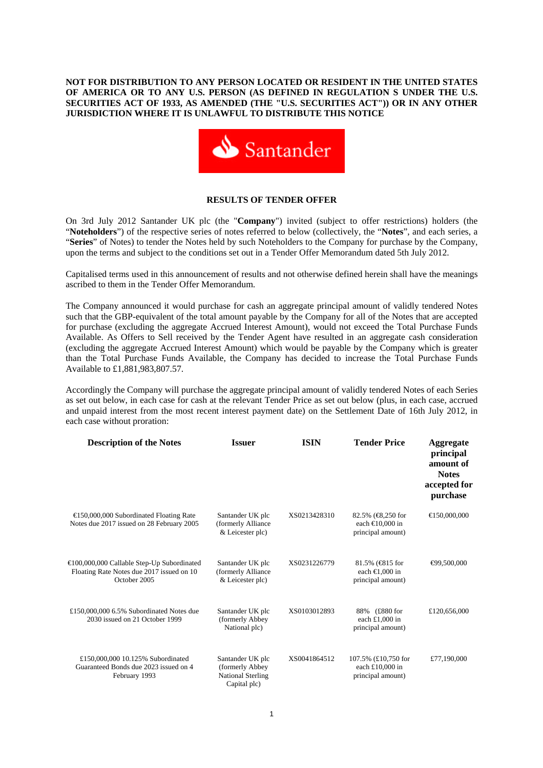# **NOT FOR DISTRIBUTION TO ANY PERSON LOCATED OR RESIDENT IN THE UNITED STATES OF AMERICA OR TO ANY U.S. PERSON (AS DEFINED IN REGULATION S UNDER THE U.S. SECURITIES ACT OF 1933, AS AMENDED (THE "U.S. SECURITIES ACT")) OR IN ANY OTHER JURISDICTION WHERE IT IS UNLAWFUL TO DISTRIBUTE THIS NOTICE**



#### **RESULTS OF TENDER OFFER**

On 3rd July 2012 Santander UK plc (the "**Company**") invited (subject to offer restrictions) holders (the "**Noteholders**") of the respective series of notes referred to below (collectively, the "**Notes**", and each series, a "**Series**" of Notes) to tender the Notes held by such Noteholders to the Company for purchase by the Company, upon the terms and subject to the conditions set out in a Tender Offer Memorandum dated 5th July 2012.

Capitalised terms used in this announcement of results and not otherwise defined herein shall have the meanings ascribed to them in the Tender Offer Memorandum.

The Company announced it would purchase for cash an aggregate principal amount of validly tendered Notes such that the GBP-equivalent of the total amount payable by the Company for all of the Notes that are accepted for purchase (excluding the aggregate Accrued Interest Amount), would not exceed the Total Purchase Funds Available. As Offers to Sell received by the Tender Agent have resulted in an aggregate cash consideration (excluding the aggregate Accrued Interest Amount) which would be payable by the Company which is greater than the Total Purchase Funds Available, the Company has decided to increase the Total Purchase Funds Available to £1,881,983,807.57.

Accordingly the Company will purchase the aggregate principal amount of validly tendered Notes of each Series as set out below, in each case for cash at the relevant Tender Price as set out below (plus, in each case, accrued and unpaid interest from the most recent interest payment date) on the Settlement Date of 16th July 2012, in each case without proration:

| <b>Description of the Notes</b>                                                                                   | <b>Issuer</b>                                                                   | <b>ISIN</b>  | <b>Tender Price</b>                                                                | Aggregate<br>principal<br>amount of<br><b>Notes</b><br>accepted for<br>purchase |
|-------------------------------------------------------------------------------------------------------------------|---------------------------------------------------------------------------------|--------------|------------------------------------------------------------------------------------|---------------------------------------------------------------------------------|
| $\text{E}$ 50,000,000 Subordinated Floating Rate<br>Notes due 2017 issued on 28 February 2005                     | Santander UK plc<br>(formerly Alliance<br>& Leicester plc)                      | XS0213428310 | $82.5\%$ ( $\bigoplus$ , 250 for<br>each $\bigoplus$ 0,000 in<br>principal amount) | $\bigoplus$ 50,000,000                                                          |
| $\bigoplus$ 00,000,000 Callable Step-Up Subordinated<br>Floating Rate Notes due 2017 issued on 10<br>October 2005 | Santander UK plc<br>(formerly Alliance<br>& Leicester plc)                      | XS0231226779 | 81.5% (€815 for<br>each $\bigoplus$ ,000 in<br>principal amount)                   | $\bigoplus$ 9.500.000                                                           |
| £150,000,000 6.5% Subordinated Notes due<br>2030 issued on 21 October 1999                                        | Santander UK plc<br>(formerly Abbey<br>National plc)                            | XS0103012893 | 88% (£880 for<br>each $£1,000$ in<br>principal amount)                             | £120,656,000                                                                    |
| £150,000,000 10.125% Subordinated<br>Guaranteed Bonds due 2023 issued on 4<br>February 1993                       | Santander UK plc<br>(formerly Abbey<br><b>National Sterling</b><br>Capital plc) | XS0041864512 | 107.5% (£10,750 for<br>each $£10,000$ in<br>principal amount)                      | £77,190,000                                                                     |